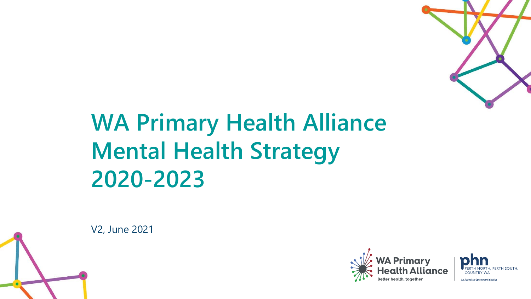

# **WA Primary Health Alliance Mental Health Strategy 2020-2023**





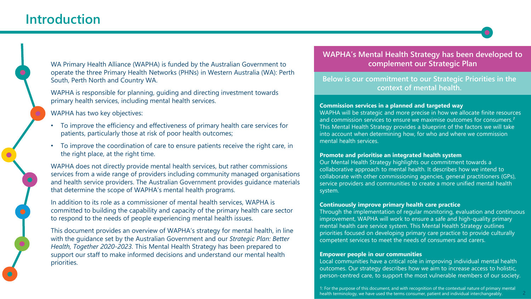### **Introduction**

WA Primary Health Alliance (WAPHA) is funded by the Australian Government to operate the three Primary Health Networks (PHNs) in Western Australia (WA): Perth South, Perth North and Country WA.

WAPHA is responsible for planning, guiding and directing investment towards primary health services, including mental health services.

WAPHA has two key objectives:

- To improve the efficiency and effectiveness of primary health care services for patients, particularly those at risk of poor health outcomes;
- To improve the coordination of care to ensure patients receive the right care, in the right place, at the right time.

WAPHA does not directly provide mental health services, but rather commissions services from a wide range of providers including community managed organisations and health service providers. The Australian Government provides guidance materials that determine the scope of WAPHA's mental health programs.

In addition to its role as a commissioner of mental health services, WAPHA is committed to building the capability and capacity of the primary health care sector to respond to the needs of people experiencing mental health issues.

This document provides an overview of WAPHA's strategy for mental health, in line with the guidance set by the Australian Government and our *Strategic Plan: Better Health, Together 2020-2023*. This Mental Health Strategy has been prepared to support our staff to make informed decisions and understand our mental health priorities.

#### **MAPHA's Mental Complement our Strategic Plan <b>Analysis** Complement our Strategic Plan **WAPHA's Mental Health Strategy has been developed to**

**complement our Strategic Plan Below is our commitment to our Strategic Priorities in the context of mental health.**

#### **Commission services in a planned and targeted way**

WAPHA will be strategic and more precise in how we allocate finite resources and commission services to ensure we maximise outcomes for consumers.**<sup>1</sup>** This Mental Health Strategy provides a blueprint of the factors we will take into account when determining how, for who and where we commission mental health services.

#### **Promote and prioritise an integrated health system**

Our Mental Health Strategy highlights our commitment towards a collaborative approach to mental health. It describes how we intend to collaborate with other commissioning agencies, general practitioners (GPs), service providers and communities to create a more unified mental health system.

#### **Continuously improve primary health care practice**

Through the implementation of regular monitoring, evaluation and continuous improvement, WAPHA will work to ensure a safe and high-quality primary mental health care service system. This Mental Health Strategy outlines priorities focused on developing primary care practice to provide culturally competent services to meet the needs of consumers and carers.

#### **Empower people in our communities**

Local communities have a critical role in improving individual mental health outcomes. Our strategy describes how we aim to increase access to holistic, person-centred care, to support the most vulnerable members of our society.

1: For the purpose of this document, and with recognition of the contextual nature of primary mental health terminology, we have used the terms consumer, patient and individual interchangeably. 2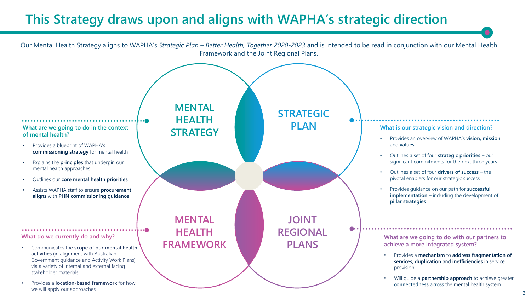### **This Strategy draws upon and aligns with WAPHA's strategic direction**

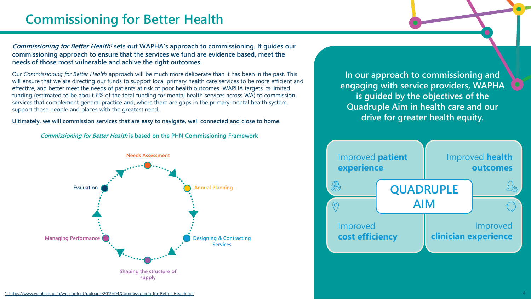### **Commissioning for Better Health**

**Commissioning for Better Health <sup>1</sup> sets out WAPHA's approach to commissioning. It guides our commissioning approach to ensure that the services we fund are evidence based, meet the needs of those most vulnerable and achive the right outcomes.**

Our *Commissioning for Better Health* approach will be much more deliberate than it has been in the past. This will ensure that we are directing our funds to support local primary health care services to be more efficient and effective, and better meet the needs of patients at risk of poor health outcomes. WAPHA targets its limited funding (estimated to be about 6% of the total funding for mental health services across WA) to commission services that complement general practice and, where there are gaps in the primary mental health system, support those people and places with the greatest need.

**Ultimately, we will commission services that are easy to navigate, well connected and close to home.**

**Commissioning for Better Health is based on the PHN Commissioning Framework**



**In our approach to commissioning and engaging with service providers, WAPHA is guided by the objectives of the Quadruple Aim in health care and our drive for greater health equity.** 



[1: https://www.wapha.org.au/wp-content/uploads/2019/04/Commissioning-for-Better-Health.pdf](https://www.wapha.org.au/wp-content/uploads/2019/04/Commissioning-for-Better-Health.pdf)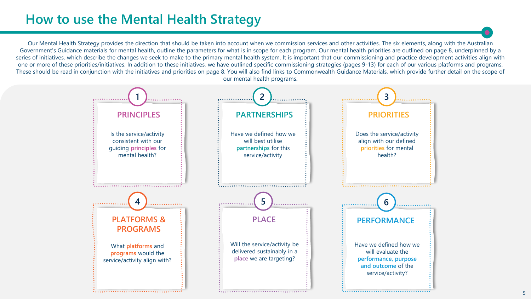### **How to use the Mental Health Strategy**

Our Mental Health Strategy provides the direction that should be taken into account when we commission services and other activities. The six elements, along with the Australian Government's Guidance materials for mental health, outline the parameters for what is in scope for each program. Our mental health priorities are outlined on page 8, underpinned by a series of initiatives, which describe the changes we seek to make to the primary mental health system. It is important that our commissioning and practice development activities align with one or more of these priorities/initiatives. In addition to these initiatives, we have outlined specific commissioning strategies (pages 9-13) for each of our various platforms and programs. These should be read in conjunction with the initiatives and priorities on page 8. You will also find links to Commonwealth Guidance Materials, which provide further detail on the scope of our mental health programs.

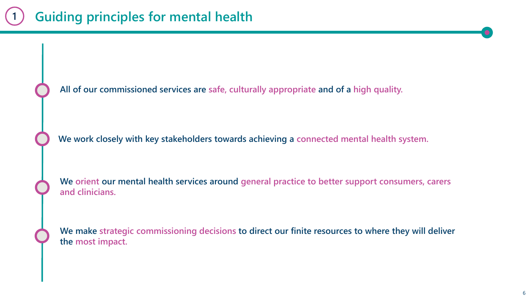**All of our commissioned services are safe, culturally appropriate and of a high quality.**

**We work closely with key stakeholders towards achieving a connected mental health system.**

**We orient our mental health services around general practice to better support consumers, carers and clinicians.**

**We make strategic commissioning decisions to direct our finite resources to where they will deliver the most impact.**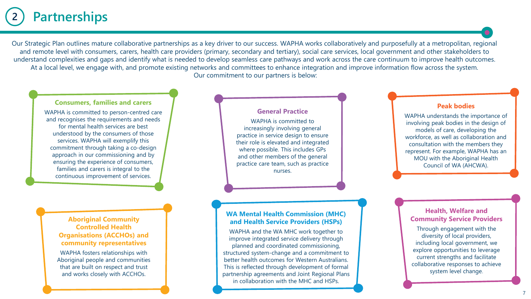#### **Partnerships 2**

Our Strategic Plan outlines mature collaborative partnerships as a key driver to our success. WAPHA works collaboratively and purposefully at a metropolitan, regional and remote level with consumers, carers, health care providers (primary, secondary and tertiary), social care services, local government and other stakeholders to understand complexities and gaps and identify what is needed to develop seamless care pathways and work across the care continuum to improve health outcomes. At a local level, we engage with, and promote existing networks and committees to enhance integration and improve information flow across the system. Our commitment to our partners is below:

#### **Consumers, families and carers**

WAPHA is committed to person-centred care and recognises the requirements and needs for mental health services are best understood by the consumers of those services. WAPHA will exemplify this commitment through taking a co-design approach in our commissioning and by ensuring the experience of consumers, families and carers is integral to the continuous improvement of services.

#### **Aboriginal Community Controlled Health Organisations (ACCHOs) and community representatives**

WAPHA fosters relationships with Aboriginal people and communities that are built on respect and trust and works closely with ACCHOs.

#### **General Practice**

WAPHA is committed to increasingly involving general practice in service design to ensure their role is elevated and integrated where possible. This includes GPs and other members of the general practice care team, such as practice nurses.

#### **WA Mental Health Commission (MHC) and Health Service Providers (HSPs)**

WAPHA and the WA MHC work together to improve integrated service delivery through planned and coordinated commissioning, structured system-change and a commitment to better health outcomes for Western Australians. This is reflected through development of formal partnership agreements and Joint Regional Plans in collaboration with the MHC and HSPs.

#### **Peak bodies**

WAPHA understands the importance of involving peak bodies in the design of models of care, developing the workforce, as well as collaboration and consultation with the members they represent. For example, WAPHA has an MOU with the Aboriginal Health Council of WA (AHCWA).

#### **Health, Welfare and Community Service Providers**

Through engagement with the diversity of local providers, including local government, we explore opportunities to leverage current strengths and facilitate collaborative responses to achieve system level change.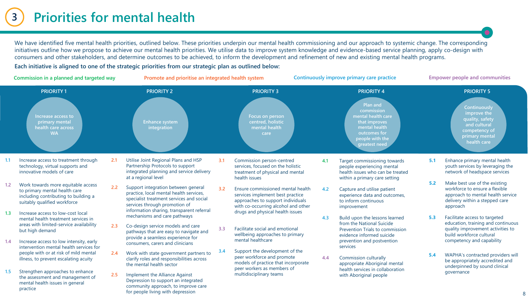#### **Priorities for mental health 3**

We have identified five mental health priorities, outlined below. These priorities underpin our mental health commissioning and our approach to systemic change. The corresponding initiatives outline how we propose to achieve our mental health priorities. We utilise data to improve system knowledge and evidence-based service planning, apply co-design with consumers and other stakeholders, and determine outcomes to be achieved, to inform the development and refinement of new and existing mental health programs.

**Each initiative is aligned to one of the strategic priorities from our strategic plan as outlined below:**

| Commission in a planned and targeted way |                                                                                                                                             |     | Promote and prioritise an integrated health system                                                                                                          |     |                                                                                                                                                   | Continuously improve primary care practice |                                                                                                                                                         |     | <b>Empower people and communities</b>                                                                                                              |  |
|------------------------------------------|---------------------------------------------------------------------------------------------------------------------------------------------|-----|-------------------------------------------------------------------------------------------------------------------------------------------------------------|-----|---------------------------------------------------------------------------------------------------------------------------------------------------|--------------------------------------------|---------------------------------------------------------------------------------------------------------------------------------------------------------|-----|----------------------------------------------------------------------------------------------------------------------------------------------------|--|
|                                          | <b>PRIORITY1</b><br>Increase access to<br>primary mental<br>health care across<br><b>WA</b>                                                 |     | <b>PRIORITY 2</b><br><b>Enhance system</b><br>integration                                                                                                   |     | <b>PRIORITY 3</b><br><b>Focus on person</b><br>centred, holistic<br>mental health<br>care                                                         |                                            | <b>PRIORITY 4</b><br>Plan and<br>commission<br>mental health care<br>that improves<br>mental health<br>outcomes for<br>people with the<br>greatest need |     | <b>PRIORITY 5</b><br>Continuously<br>improve the<br>quality, safety<br>and cultural<br>competency of<br>primary mental<br>health care              |  |
| 1.1                                      | Increase access to treatment through<br>technology, virtual supports and<br>innovative models of care                                       | 2.1 | Utilise Joint Regional Plans and HSP<br>Partnership Protocols to support<br>integrated planning and service delivery<br>at a regional level                 | 3.1 | Commission person-centred<br>services, focused on the holistic<br>treatment of physical and mental<br>health issues                               | 4.1                                        | Target commissioning towards<br>people experiencing mental<br>health issues who can be treated<br>within a primary care setting                         | 5.1 | Enhance primary mental health<br>youth services by leveraging the<br>network of headspace services                                                 |  |
| 1.2                                      | Work towards more equitable access<br>to primary mental health care<br>including contributing to building a<br>suitably qualified workforce | 2.2 | Support integration between general<br>practice, local mental health services,<br>specialist treatment services and social<br>services through promotion of | 32  | Ensure commissioned mental health<br>services implement best practice<br>approaches to support individuals<br>with co-occurring alcohol and other | 4.2                                        | Capture and utilise patient<br>experience data and outcomes,<br>to inform continuous<br>improvement                                                     | 5.2 | Make best use of the existing<br>workforce to ensure a flexible<br>approach to mental health service<br>delivery within a stepped care<br>approach |  |
| 1.3                                      | Increase access to low-cost local<br>mental health treatment services in<br>areas with limited-service availability<br>but high demand      | 2.3 | information sharing, transparent referral<br>mechanisms and care pathways<br>Co-design service models and care<br>pathways that are easy to navigate and    | 3.3 | drugs and physical health issues<br>Facilitate social and emotional<br>wellbeing approaches to primary                                            | 4.3                                        | Build upon the lessons learned<br>from the National Suicide<br>Prevention Trials to commission<br>evidence informed suicide                             | 5.3 | Facilitate access to targeted<br>education, training and continuous<br>quality improvement activities to<br>build workforce cultural               |  |
| 1.4                                      | Increase access to low intensity, early<br>intervention mental health services for                                                          |     | provide a seamless experience for<br>consumers, carers and clinicians                                                                                       | 3.4 | mental healthcare<br>Support the development of the                                                                                               |                                            | prevention and postvention<br>services                                                                                                                  |     | competency and capability                                                                                                                          |  |
|                                          | people with or at risk of mild mental<br>illness, to prevent escalating acuity                                                              | 2.4 | Work with state government partners to<br>clarify roles and responsibilities across<br>the mental health sector                                             |     | peer workforce and promote<br>models of practice that incorporate<br>peer workers as members of                                                   | 4.4                                        | <b>Commission culturally</b><br>appropriate Aboriginal mental                                                                                           | 5.4 | WAPHA's contracted providers will<br>be appropriately accredited and<br>underpinned by sound clinical                                              |  |
| 1.5                                      | Strengthen approaches to enhance<br>the assessment and management of<br>mental health issues in general<br>practice                         | 2.5 | Implement the Alliance Against<br>Depression to support an integrated<br>community approach, to improve care<br>for people living with depression           |     | multidisciplinary teams                                                                                                                           |                                            | health services in collaboration<br>with Aboriginal people                                                                                              |     | governance                                                                                                                                         |  |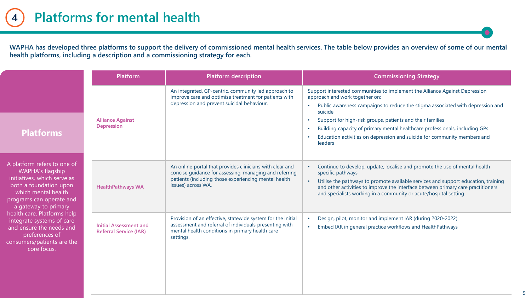**WAPHA has developed three platforms to support the delivery of commissioned mental health services. The table below provides an overview of some of our mental health platforms, including a description and a commissioning strategy for each.**

|                                                                                                                                                                                     | Platform                                                       | <b>Platform description</b>                                                                                                                                                                      | <b>Commissioning Strategy</b>                                                                                                                                                                                                                                                                                                                                                                                                                              |
|-------------------------------------------------------------------------------------------------------------------------------------------------------------------------------------|----------------------------------------------------------------|--------------------------------------------------------------------------------------------------------------------------------------------------------------------------------------------------|------------------------------------------------------------------------------------------------------------------------------------------------------------------------------------------------------------------------------------------------------------------------------------------------------------------------------------------------------------------------------------------------------------------------------------------------------------|
| <b>Platforms</b>                                                                                                                                                                    | <b>Alliance Against</b><br>Depression                          | An integrated, GP-centric, community led approach to<br>improve care and optimise treatment for patients with<br>depression and prevent suicidal behaviour.                                      | Support interested communities to implement the Alliance Against Depression<br>approach and work together on:<br>Public awareness campaigns to reduce the stigma associated with depression and<br>suicide<br>Support for high-risk groups, patients and their families<br>$\bullet$<br>Building capacity of primary mental healthcare professionals, including GPs<br>Education activities on depression and suicide for community members and<br>leaders |
| A platform refers to one of<br>WAPHA's flagship<br>initiatives, which serve as<br>both a foundation upon<br>which mental health<br>programs can operate and<br>a gateway to primary | <b>HealthPathways WA</b>                                       | An online portal that provides clinicians with clear and<br>concise guidance for assessing, managing and referring<br>patients (including those experiencing mental health<br>issues) across WA. | Continue to develop, update, localise and promote the use of mental health<br>specific pathways<br>Utilise the pathways to promote available services and support education, training<br>and other activities to improve the interface between primary care practitioners<br>and specialists working in a community or acute/hospital setting                                                                                                              |
| health care. Platforms help<br>integrate systems of care<br>and ensure the needs and<br>preferences of<br>consumers/patients are the<br>core focus.                                 | <b>Initial Assessment and</b><br><b>Referral Service (IAR)</b> | Provision of an effective, statewide system for the initial<br>assessment and referral of individuals presenting with<br>mental health conditions in primary health care<br>settings.            | Design, pilot, monitor and implement IAR (during 2020-2022)<br>Embed IAR in general practice workflows and HealthPathways                                                                                                                                                                                                                                                                                                                                  |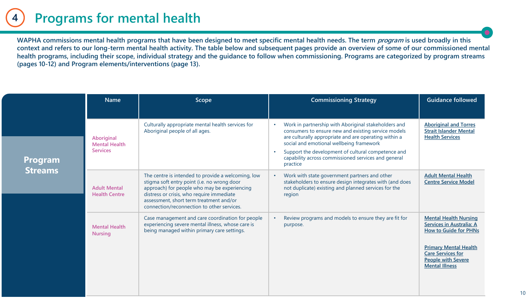#### **Programs for mental health 4**

WAPHA commissions mental health programs that have been designed to meet specific mental health needs. The term *program* is used broadly in this **context and refers to our long-term mental health activity. The table below and subsequent pages provide an overview of some of our commissioned mental health programs, including their scope, individual strategy and the guidance to follow when commissioning. Programs are categorized by program streams (pages 10-12) and Program elements/interventions (page 13).** 

|                | <b>Name</b>                                           | Scope                                                                                                                                                                                                                                                                                   | <b>Commissioning Strategy</b>                                                                                                                                                                                                                                                                                                             | <b>Guidance followed</b>                                                                                                                                                                                   |
|----------------|-------------------------------------------------------|-----------------------------------------------------------------------------------------------------------------------------------------------------------------------------------------------------------------------------------------------------------------------------------------|-------------------------------------------------------------------------------------------------------------------------------------------------------------------------------------------------------------------------------------------------------------------------------------------------------------------------------------------|------------------------------------------------------------------------------------------------------------------------------------------------------------------------------------------------------------|
| <b>Program</b> | Aboriginal<br><b>Mental Health</b><br><b>Services</b> | Culturally appropriate mental health services for<br>Aboriginal people of all ages.                                                                                                                                                                                                     | Work in partnership with Aboriginal stakeholders and<br>consumers to ensure new and existing service models<br>are culturally appropriate and are operating within a<br>social and emotional wellbeing framework<br>Support the development of cultural competence and<br>capability across commissioned services and general<br>practice | <b>Aboriginal and Torres</b><br><b>Strait Islander Mental</b><br><b>Health Services</b>                                                                                                                    |
| <b>Streams</b> | <b>Adult Mental</b><br><b>Health Centre</b>           | The centre is intended to provide a welcoming, low<br>stigma soft entry point (i.e. no wrong door<br>approach) for people who may be experiencing<br>distress or crisis, who require immediate<br>assessment, short term treatment and/or<br>connection/reconnection to other services. | Work with state government partners and other<br>stakeholders to ensure design integrates with (and does<br>not duplicate) existing and planned services for the<br>region                                                                                                                                                                | <b>Adult Mental Health</b><br><b>Centre Service Model</b>                                                                                                                                                  |
|                | <b>Mental Health</b><br><b>Nursing</b>                | Case management and care coordination for people<br>experiencing severe mental illness, whose care is<br>being managed within primary care settings.                                                                                                                                    | Review programs and models to ensure they are fit for<br>purpose.                                                                                                                                                                                                                                                                         | <b>Mental Health Nursing</b><br>Services in Australia: A<br><b>How to Guide for PHNs</b><br><b>Primary Mental Health</b><br><b>Care Services for</b><br><b>People with Severe</b><br><b>Mental Illness</b> |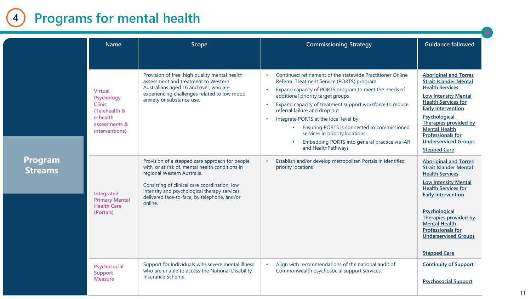#### **Programs for mental health 4**

|                                  | <b>Name</b>                                                                                                   | Scope                                                                                                                                                                                                                                                                                          | <b>Commissioning Strategy</b>                                                                                                                                                                                                                                                                                                                                                                                                                                                                                                                                                      | <b>Guidance followed</b>                                                                                                                                                                                                                                                                                                              |
|----------------------------------|---------------------------------------------------------------------------------------------------------------|------------------------------------------------------------------------------------------------------------------------------------------------------------------------------------------------------------------------------------------------------------------------------------------------|------------------------------------------------------------------------------------------------------------------------------------------------------------------------------------------------------------------------------------------------------------------------------------------------------------------------------------------------------------------------------------------------------------------------------------------------------------------------------------------------------------------------------------------------------------------------------------|---------------------------------------------------------------------------------------------------------------------------------------------------------------------------------------------------------------------------------------------------------------------------------------------------------------------------------------|
|                                  | <b>Virtual</b><br>Psychology<br><b>Clinic</b><br>(Telehealth &<br>e-health<br>assessments &<br>interventions) | Provision of free, high quality mental health<br>assessment and treatment to Western<br>Australians aged 16 and over, who are<br>experiencing challenges related to low mood,<br>anxiety or substance use.                                                                                     | Continued refinement of the statewide Practitioner Online<br>$\bullet$<br>Referral Treatment Service (PORTS) program<br>Expand capacity of PORTS program to meet the needs of<br>$\bullet$<br>additional priority target groups<br>Expand capacity of treatment support workforce to reduce<br>$\bullet$<br>referral failure and drop out<br>Integrate PORTS at the local level by:<br>$\bullet$<br>Ensuring PORTS is connected to commissioned<br>$\bullet$<br>services in priority locations<br>Embedding PORTS into general practice via IAR<br>$\bullet$<br>and HealthPathways | <b>Aboriginal and Torres</b><br><b>Strait Islander Mental</b><br><b>Health Services</b><br><b>Low Intensity Mental</b><br><b>Health Services for</b><br><b>Early Intervention</b><br>Psychological<br>Therapies provided by<br><b>Mental Health</b><br>Professionals for<br><b>Underserviced Groups</b><br><b>Stepped Care</b>        |
| <b>Program</b><br><b>Streams</b> | Integrated<br><b>Primary Mental</b><br><b>Health Care</b><br>(Portals)                                        | Provision of a stepped care approach for people<br>with, or at risk of, mental health conditions in<br>regional Western Australia.<br>Consisting of clinical care coordination, low<br>intensity and psychological therapy services<br>delivered face-to-face, by telephone, and/or<br>online. | Establish and/or develop metropolitan Portals in identified<br>$\bullet$<br>priority locations                                                                                                                                                                                                                                                                                                                                                                                                                                                                                     | <b>Aboriginal and Torres</b><br><b>Strait Islander Mental</b><br><b>Health Services</b><br><b>Low Intensity Mental</b><br><b>Health Services for</b><br><b>Early Intervention</b><br>Psychological<br>Therapies provided by<br><b>Mental Health</b><br><b>Professionals for</b><br><b>Underserviced Groups</b><br><b>Stepped Care</b> |
|                                  | Psychosocial<br>Support<br><b>Measure</b>                                                                     | Support for individuals with severe mental illness<br>who are unable to access the National Disability<br>Insurance Scheme.                                                                                                                                                                    | Align with recommendations of the national audit of<br>$\bullet$<br>Commonwealth psychosocial support services.                                                                                                                                                                                                                                                                                                                                                                                                                                                                    | <b>Continuity of Support</b><br><b>Psychosocial Support</b>                                                                                                                                                                                                                                                                           |

11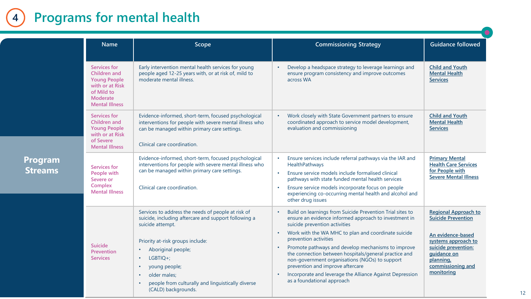#### **Programs for mental health 4**

|                                  | <b>Name</b><br>Scope                                                                                                      |                                                                                                                                                                                                                                                                                                                                                                       | <b>Commissioning Strategy</b>                                                                                                                                                                                                                                                                                                                                                                                                                                                                                                                   | <b>Guidance followed</b>                                                                                                                                                                   |
|----------------------------------|---------------------------------------------------------------------------------------------------------------------------|-----------------------------------------------------------------------------------------------------------------------------------------------------------------------------------------------------------------------------------------------------------------------------------------------------------------------------------------------------------------------|-------------------------------------------------------------------------------------------------------------------------------------------------------------------------------------------------------------------------------------------------------------------------------------------------------------------------------------------------------------------------------------------------------------------------------------------------------------------------------------------------------------------------------------------------|--------------------------------------------------------------------------------------------------------------------------------------------------------------------------------------------|
|                                  | Services for<br>Children and<br><b>Young People</b><br>with or at Risk<br>of Mild to<br>Moderate<br><b>Mental Illness</b> | Early intervention mental health services for young<br>people aged 12-25 years with, or at risk of, mild to<br>moderate mental illness.                                                                                                                                                                                                                               | Develop a headspace strategy to leverage learnings and<br>ensure program consistency and improve outcomes<br>across WA                                                                                                                                                                                                                                                                                                                                                                                                                          | <b>Child and Youth</b><br><b>Mental Health</b><br><b>Services</b>                                                                                                                          |
|                                  | Services for<br>Children and<br><b>Young People</b><br>with or at Risk<br>of Severe<br><b>Mental Illness</b>              | Evidence-informed, short-term, focused psychological<br>interventions for people with severe mental illness who<br>can be managed within primary care settings.<br>Clinical care coordination.                                                                                                                                                                        | Work closely with State Government partners to ensure<br>coordinated approach to service model development,<br>evaluation and commissioning                                                                                                                                                                                                                                                                                                                                                                                                     | <b>Child and Youth</b><br><b>Mental Health</b><br><b>Services</b>                                                                                                                          |
| <u>Program</u><br><b>Streams</b> | Services for<br>People with<br>Severe or<br>Complex<br><b>Mental Illness</b>                                              | Evidence-informed, short-term, focused psychological<br>interventions for people with severe mental illness who<br>can be managed within primary care settings.<br>Clinical care coordination.                                                                                                                                                                        | Ensure services include referral pathways via the IAR and<br>HealthPathways<br>Ensure service models include formalised clinical<br>$\bullet$<br>pathways with state funded mental health services<br>Ensure service models incorporate focus on people<br>experiencing co-occurring mental health and alcohol and<br>other drug issues                                                                                                                                                                                                         | <b>Primary Mental</b><br><b>Health Care Services</b><br>for People with<br><b>Severe Mental Illness</b>                                                                                    |
|                                  | Suicide<br>Prevention<br><b>Services</b>                                                                                  | Services to address the needs of people at risk of<br>suicide, including aftercare and support following a<br>suicide attempt.<br>Priority at-risk groups include:<br>Aboriginal people;<br>$\bullet$<br>LGBTIO+:<br>$\bullet$<br>young people;<br>$\bullet$<br>older males;<br>$\bullet$<br>people from culturally and linguistically diverse<br>(CALD) backgrounds. | Build on learnings from Suicide Prevention Trial sites to<br>ensure an evidence informed approach to investment in<br>suicide prevention activities<br>Work with the WA MHC to plan and coordinate suicide<br>$\bullet$<br>prevention activities<br>Promote pathways and develop mechanisms to improve<br>the connection between hospitals/general practice and<br>non-government organisations (NGOs) to support<br>prevention and improve aftercare<br>Incorporate and leverage the Alliance Against Depression<br>as a foundational approach | <b>Regional Approach to</b><br><b>Suicide Prevention</b><br>An evidence-based<br>systems approach to<br>suicide prevention:<br>guidance on<br>planning,<br>commissioning and<br>monitoring |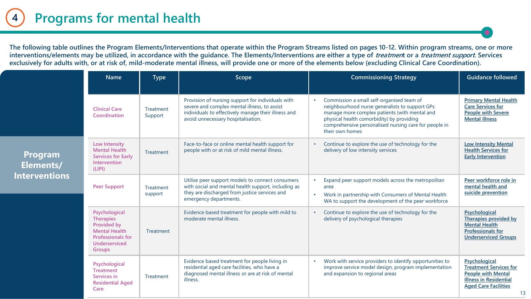**The following table outlines the Program Elements/Interventions that operate within the Program Streams listed on pages 10-12. Within program streams, one or more interventions/elements may be utilized, in accordance with the guidance. The Elements/Interventions are either a type of treatment or a treatment support. Services**  exclusively for adults with, or at risk of, mild-moderate mental illness, will provide one or more of the elements below (excluding Clinical Care Coordination).

|                             | <b>Name</b>                                                                                                                            | <b>Type</b>          | Scope                                                                                                                                                                                          |           | <b>Commissioning Strategy</b>                                                                                                                                                                                                                                         | <b>Guidance followed</b>                                                                                                                    |
|-----------------------------|----------------------------------------------------------------------------------------------------------------------------------------|----------------------|------------------------------------------------------------------------------------------------------------------------------------------------------------------------------------------------|-----------|-----------------------------------------------------------------------------------------------------------------------------------------------------------------------------------------------------------------------------------------------------------------------|---------------------------------------------------------------------------------------------------------------------------------------------|
|                             | <b>Clinical Care</b><br>Coordination                                                                                                   | Treatment<br>Support | Provision of nursing support for individuals with<br>severe and complex mental illness, to assist<br>individuals to effectively manage their illness and<br>avoid unnecessary hospitalisation. |           | Commission a small self-organised team of<br>neighbourhood nurse generalists to support GPs<br>manage more complex patients (with mental and<br>physical health comorbidity) by providing<br>comprehensive personalised nursing care for people in<br>their own homes | <b>Primary Mental Health</b><br><b>Care Services for</b><br><b>People with Severe</b><br><b>Mental Illness</b>                              |
| <b>Program</b><br>Elements/ | Low Intensity<br><b>Mental Health</b><br><b>Services for Early</b><br>Intervention<br>(LIPI)                                           | Treatment            | Face-to-face or online mental health support for<br>people with or at risk of mild mental illness.                                                                                             |           | Continue to explore the use of technology for the<br>delivery of low intensity services                                                                                                                                                                               | <b>Low Intensity Mental</b><br><b>Health Services for</b><br><b>Early Intervention</b>                                                      |
| <b>Interventions</b>        | <b>Peer Support</b>                                                                                                                    | Treatment<br>support | Utilise peer support models to connect consumers<br>with social and mental health support, including as<br>they are discharged from justice services and<br>emergency departments.             | $\bullet$ | Expand peer support models across the metropolitan<br>area<br>Work in partnership with Consumers of Mental Health<br>WA to support the development of the peer workforce                                                                                              | Peer workforce role in<br>mental health and<br>suicide prevention                                                                           |
|                             | Psychological<br><b>Therapies</b><br>Provided by<br><b>Mental Health</b><br><b>Professionals for</b><br>Underserviced<br><b>Groups</b> | Treatment            | Evidence based treatment for people with mild to<br>moderate mental illness.                                                                                                                   |           | Continue to explore the use of technology for the<br>delivery of psychological therapies                                                                                                                                                                              | Psychological<br>Therapies provided by<br><b>Mental Health</b><br><b>Professionals for</b><br><b>Underserviced Groups</b>                   |
|                             | Psychological<br><b>Treatment</b><br>Services in<br><b>Residential Aged</b><br>Care                                                    | Treatment            | Evidence based treatment for people living in<br>residential aged care facilities, who have a<br>diagnosed mental illness or are at risk of mental<br>illness.                                 |           | Work with service providers to identify opportunities to<br>improve service model design, program implementation<br>and expansion to regional areas                                                                                                                   | Psychological<br><b>Treatment Services for</b><br><b>People with Mental</b><br><b>Illness in Residential</b><br><b>Aged Care Facilities</b> |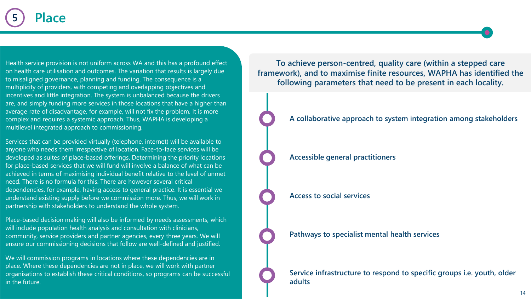Health service provision is not uniform across WA and this has a profound effect on health care utilisation and outcomes. The variation that results is largely due to misaligned governance, planning and funding. The consequence is a multiplicity of providers, with competing and overlapping objectives and incentives and little integration. The system is unbalanced because the drivers are, and simply funding more services in those locations that have a higher than average rate of disadvantage, for example, will not fix the problem. It is more complex and requires a systemic approach. Thus, WAPHA is developing a multilevel integrated approach to commissioning.

Services that can be provided virtually (telephone, internet) will be available to anyone who needs them irrespective of location. Face-to-face services will be developed as suites of place-based offerings. Determining the priority locations for place-based services that we will fund will involve a balance of what can be achieved in terms of maximising individual benefit relative to the level of unmet need. There is no formula for this. There are however several critical dependencies, for example, having access to general practice. It is essential we understand existing supply before we commission more. Thus, we will work in partnership with stakeholders to understand the whole system.

Place-based decision making will also be informed by needs assessments, which will include population health analysis and consultation with clinicians, community, service providers and partner agencies, every three years. We will ensure our commissioning decisions that follow are well-defined and justified.

We will commission programs in locations where these dependencies are in place. Where these dependencies are not in place, we will work with partner organisations to establish these critical conditions, so programs can be successful in the future.

**To achieve person-centred, quality care (within a stepped care framework), and to maximise finite resources, WAPHA has identified the following parameters that need to be present in each locality.** 



**A collaborative approach to system integration among stakeholders**

**Accessible general practitioners**

**Access to social services**

**Pathways to specialist mental health services**

**Service infrastructure to respond to specific groups i.e. youth, older adults.**